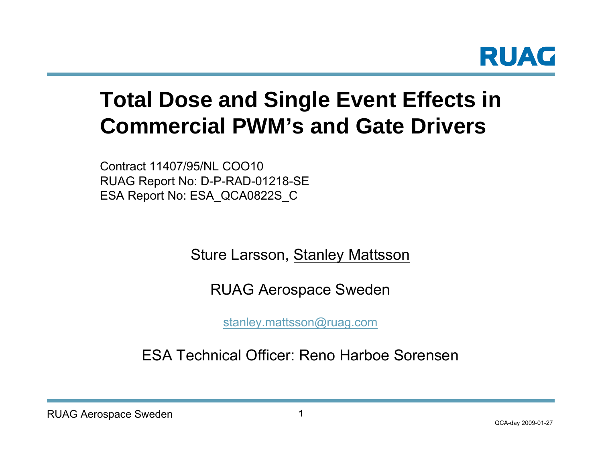

# **Total Dose and Single Event Effects in Commercial PWM's and Gate Drivers**

Contract 11407/95/NL COO10RUAG Report No: D-P-RAD-01218-SE ESA Report No: ESA\_QCA0822S\_C

Sture Larsson, <u>Stanley Mattsson</u>

RUAG Aerospace Sweden

[stanley.mattsson@ruag.com](mailto:stanley.mattsson@ruag.com)

ESA Technical Officer: Reno Harboe Sorensen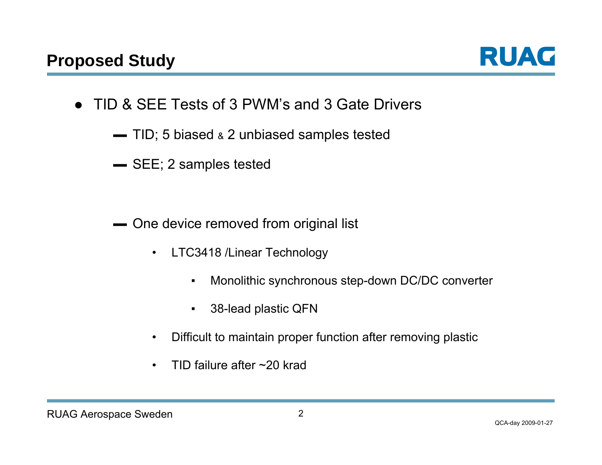

- TID & SEE Tests of 3 PWM's and 3 Gate Drivers
	- ▬ TID; 5 biased & 2 unbiased samples tested
	- ▬ SEE; 2 samples tested

- ▬ One device removed from original list
	- $\bullet$  LTC3418 /Linear Technology
		- ▪Monolithic synchronous step-down DC/DC converter
		- ▪38-lead plastic QFN
	- •Difficult to maintain proper function after removing plastic
	- •TID failure after ~20 krad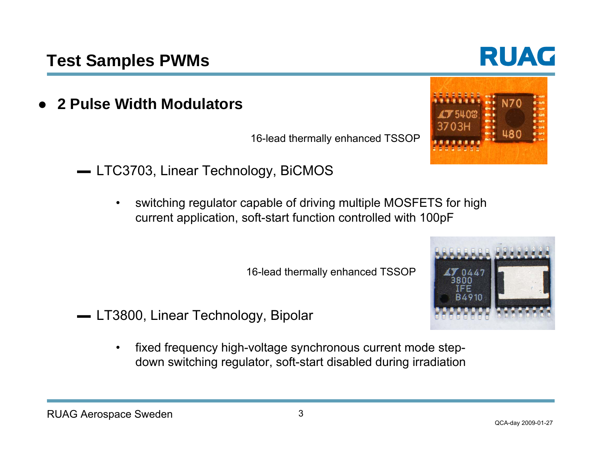●**2 Pulse Width Modulators**

16-lead thermally enhanced TSSOP

- LTC3703, Linear Technology, BiCMOS
	- • switching regulator capable of driving multiple MOSFETS for high current application, soft-start function controlled with 100pF

16-lead thermally enhanced TSSOP

- ▬ LT3800, Linear Technology, Bipolar
	- • fixed frequency high-voltage synchronous current mode stepdown switching regulator, soft-start disabled during irradiation





# RUAC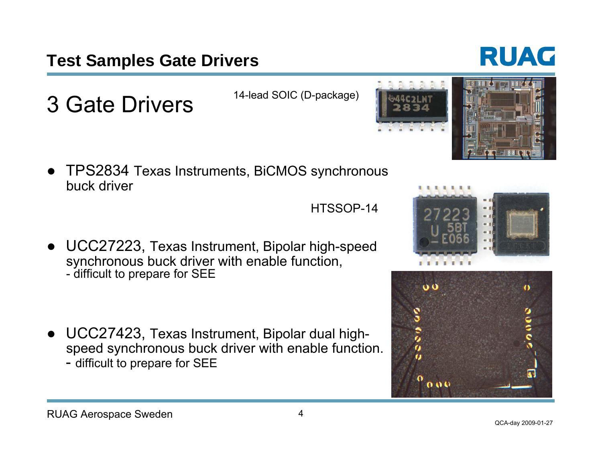## **Test Samples Gate Drivers**

3 Gate Drivers

- 
- TPS2834 Texas Instruments, BiCMOS synchronous buck driver

● UCC27223, Texas Instrument, Bipolar high-speed synchronous buck driver with enable function, - difficult to prepare for SEE

● UCC27423, Texas Instrument, Bipolar dual highspeed synchronous buck driver with enable function. - difficult to prepare for SEE







HTSSOP-14

14-lead SOIC (D-package)

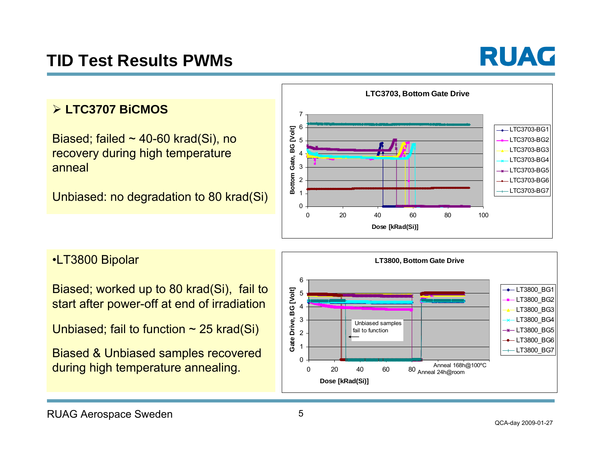## **TID Test Results PWMs**



#### ¾ **LTC3707 BiCMOS**

Biased; failed  $\sim$  40-60 krad(Si), no recovery during high temperature anneal

Unbiased: no degradation to 80 krad(Si)



•LT3800 Bipolar

Biased; worked up to 80 krad(Si), fail to start after power-off at end of irradiation

Unbiased; fail to function  $\sim$  25 krad(Si)

Biased & Unbiased samples recovered during high temperature annealing.

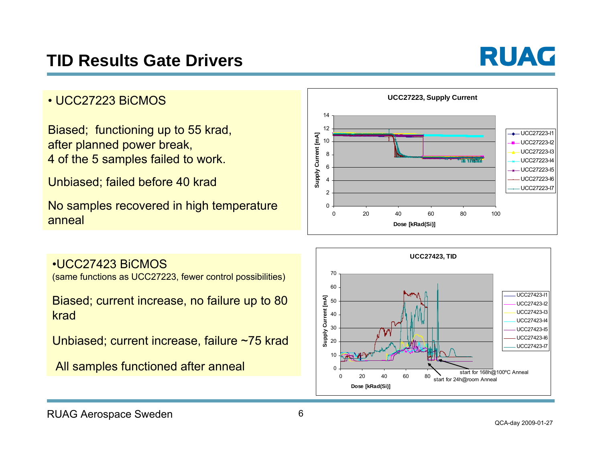

#### • UCC27223 BiCMOS

Biased; functioning up to 55 krad, after planned power break, 4 of the 5 samples failed to work.

Unbiased; failed before 40 krad

No samples recovered in high temperature anneal



#### •UCC27423 BiCMOS

(same functions as UCC27223, fewer control possibilities)

Biased; current increase, no failure up to 80 krad

Unbiased; current increase, failure ~75 krad

All samples functioned after anneal

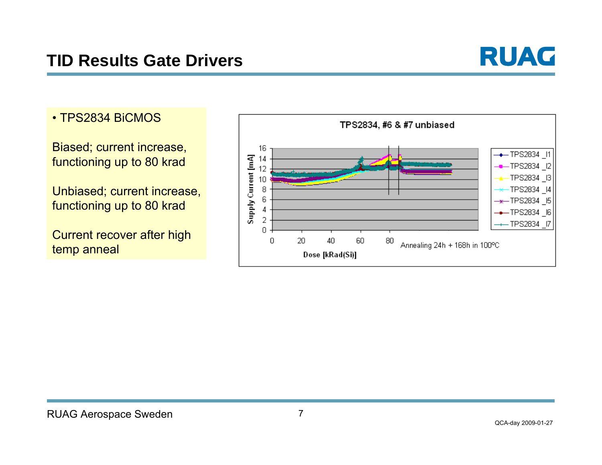

• TPS2834 BiCMOS

Biased; current increase, functioning up to 80 krad

Unbiased; current increase, functioning up to 80 krad

Current recover after high temp anneal

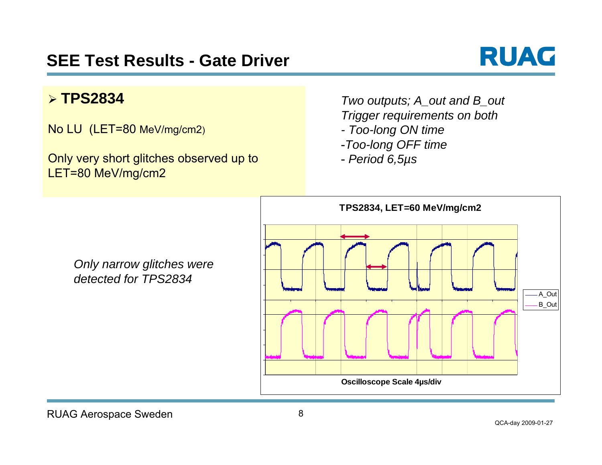

#### ¾ **TPS2834**

No LU (LET=80 MeV/mg/cm2)

Only very short glitches observed up to LET=80 MeV/mg/cm2

*Only narrow glitches were* 

*detected for TPS2834*

*Two outputs; A\_out and B\_out Trigger requirements on both* 

- *- Too-long ON time*
- -*Too-long OFF time*
- *Period 6,5µs*

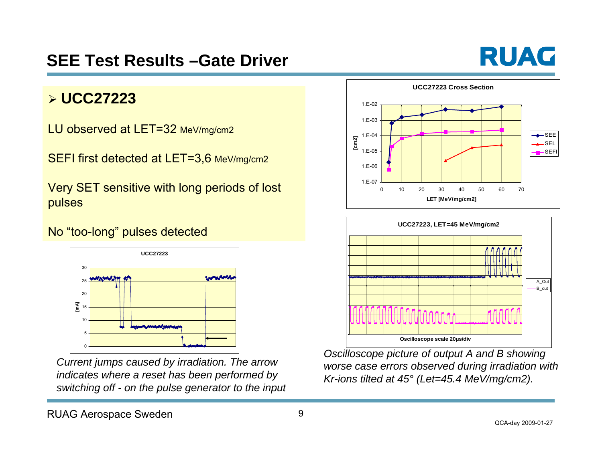## **SEE Test Results –Gate Driver**

# RUAC

### ¾ **UCC27223**

LU observed at LET=32 MeV/mg/cm2

SEFI first detected at LET=3,6 MeV/mg/cm2

Very SET sensitive with long periods of lost pulses

#### No "too-long" pulses detected



*Current jumps caused by irradiation. The arrow indicates where a reset has been performed by switching off - on the pulse generator to the input*





*Oscilloscope picture of output A and B showing worse case errors observed during irradiation with Kr-ions tilted at 45° (Let=45.4 MeV/mg/cm2).*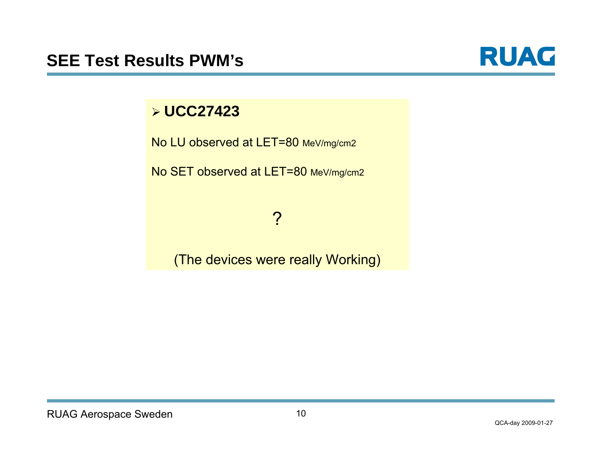

#### ¾ **UCC27423**

No LU observed at LET=80 MeV/mg/cm2

No SET observed at LET=80 MeV/mg/cm2

### ?

#### (The devices were really Working)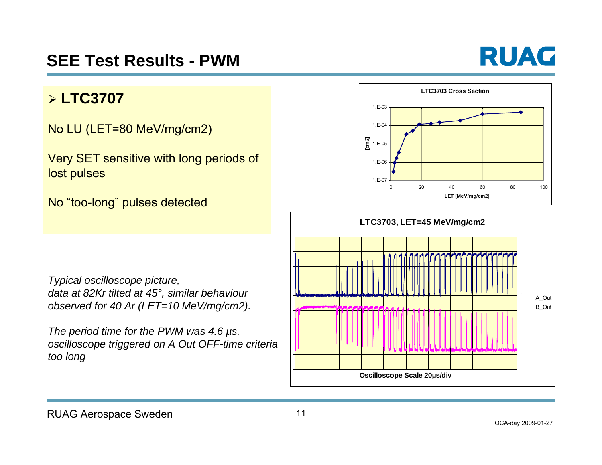

#### ¾ **LTC3707**

No LU (LET=80 MeV/mg/cm2)

Very SET sensitive with long periods of lost pulses

No "too-long" pulses detected



*Typical oscilloscope picture, data at 82Kr tilted at 45°, similar behaviour observed for 40 Ar (LET=10 MeV/mg/cm2).* 

*The period time for the PWM was 4.6 µs. oscilloscope triggered on A Out OFF-time criteria too long*

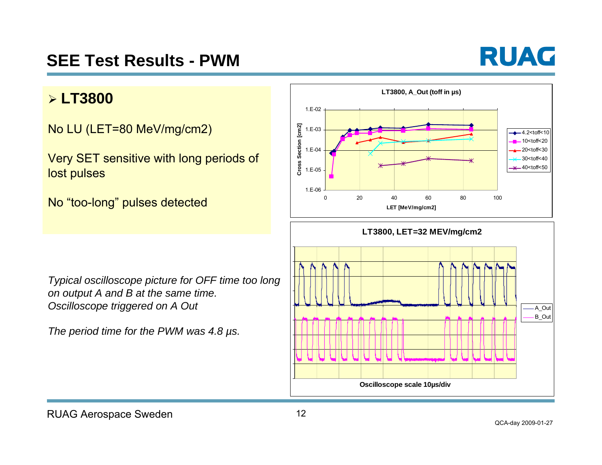# **SEE Test Results - PWM**



#### ¾ **LT3800**

No LU (LET=80 MeV/mg/cm2)

Very SET sensitive with long periods of lost pulses

No "too-long" pulses detected





*Typical oscilloscope picture for OFF time too long on output A and B at the same time. Oscilloscope triggered on A Out*

*The period time for the PWM was 4.8 µs.*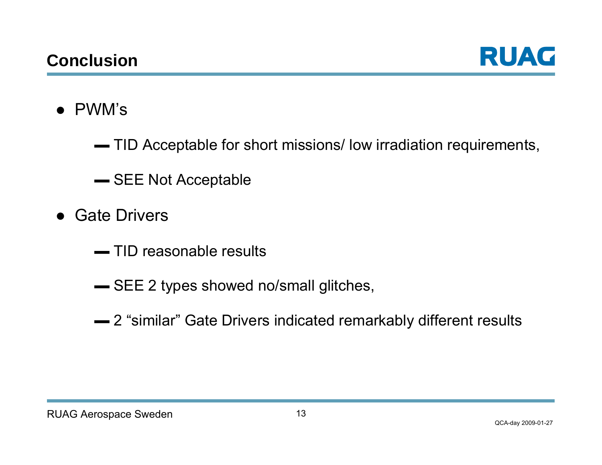

- PWM's
	- $\blacktriangleright$  TID Acceptable for short missions/ low irradiation requirements,
	- SEE Not Acceptable
- Gate Drivers
	- $\rule{1em}{0.15mm}$  TID reasonable results
	- SEE 2 types showed no/small glitches,
	- 2 "similar" Gate Drivers indicated remarkably different results